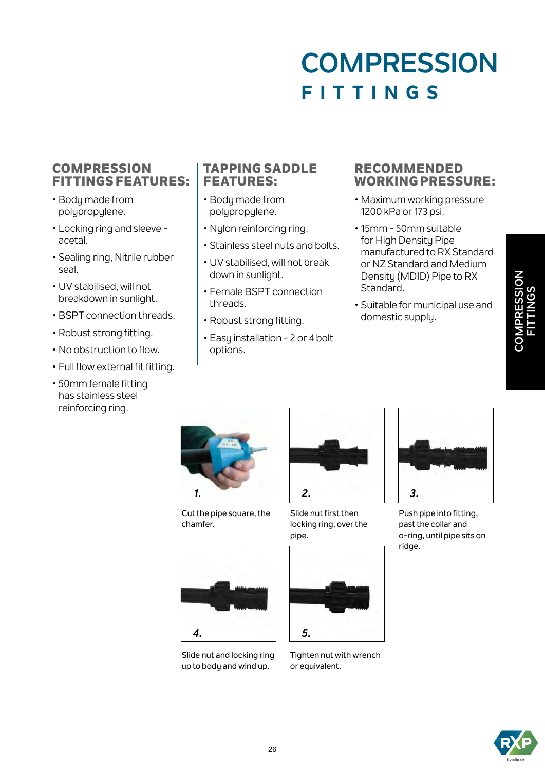# **COMPRESSION FITTINGS**

#### **COMPRESSION** FITTINGS FEATURES:

- Body made from polypropylene.
- Locking ring and sleeve acetal.
- Sealing ring, Nitrile rubber seal.
- UV stabilised, will not breakdown in sunlight.
- BSPT connection threads.
- Robust strong fitting.
- No obstruction to flow.
- Full flow external fit fitting.
- 50mm female fitting has stainless steel reinforcing ring.

#### TAPPING SADDLE FEATURES:

- Body made from polypropylene.
- Nylon reinforcing ring.
- Stainless steel nuts and bolts.
- UV stabilised, will not break down in sunlight.
- Female BSPT connection threads.
- Robust strong fitting.
- Easy installation 2 or 4 bolt options.

#### RECOMMENDED WORKING PRESSURE:

- Maximum working pressure 1200 kPa or 173 psi.
- 15mm 50mm suitable for High Densitu Pipe manufactured to RX Standard or NZ Standard and Medium Density (MDID) Pipe to RX Standard.
- Suitable for municipal use and domestic supply.



Cut the pipe square, the chamfer.



Slide nut and locking ring up to body and wind up.



Slide nut first then locking ring, over the pipe.



Tighten nut with wrench or equivalent.



Push pipe into fitting, past the collar and o-ring, until pipe sits on ridge.



**COMPRESSION FITTINGS**

COMPRESSION<br>FITTINGS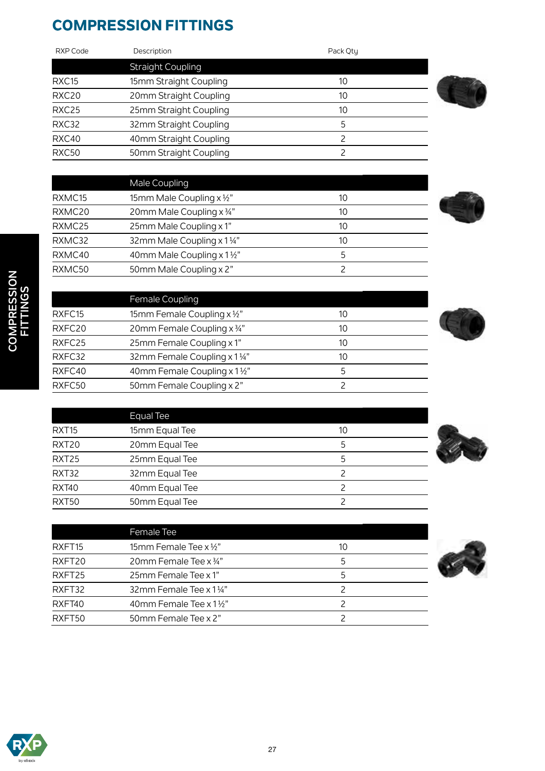### **COMPRESSION FITTINGS**

Female Coupling

Equal Tee

RXFC15 15mm Female Coupling x 1/2" 10 RXFC20 20mm Female Coupling x 34" 10 RXFC25 25mm Female Coupling x 1" 10 RXFC32 32mm Female Coupling x 1 ¼" 10 RXFC40 40mm Female Coupling x 1 1/2" 5 RXFC50 50mm Female Coupling x 2" 2

RXT15 15mm Equal Tee 10 RXT20 20mm Equal Tee 5 RXT25 25mm Equal Tee 5 RXT32 32mm Equal Tee 2 RXT40 40mm Equal Tee 2

RXFT40 40mm Female Tee x 1 <sup>1</sup>/<sub>2</sub>" and the set of the 40mm Female Tee x 1 <sup>1</sup>/<sub>2</sub>" and the 2 RXFT50 50mm Female Tee x 2" 2

| RXP Code          | Description              | Pack Otu |  |
|-------------------|--------------------------|----------|--|
|                   | <b>Straight Coupling</b> |          |  |
| RXC <sub>15</sub> | 15mm Straight Coupling   | 10       |  |
| RXC20             | 20mm Straight Coupling   | 10       |  |
| RXC25             | 25mm Straight Coupling   | 10       |  |
| RXC32             | 32mm Straight Coupling   | 5        |  |
| RXC40             | 40mm Straight Coupling   |          |  |
| RXC50             | 50mm Straight Coupling   |          |  |

|        | Male Coupling                        |    |  |
|--------|--------------------------------------|----|--|
| RXMC15 | 15mm Male Coupling $x \frac{1}{2}$ " | 10 |  |
| RXMC20 | 20mm Male Coupling x 3/4"            | 10 |  |
| RXMC25 | 25mm Male Coupling x 1"              | 10 |  |
| RXMC32 | 32mm Male Coupling x 11/4"           | 10 |  |
| RXMC40 | 40mm Male Coupling x 1½"             | 5  |  |
| RXMC50 | 50mm Male Coupling x 2"              |    |  |













| RXT50              | 50mm Equal Tee                    |    |
|--------------------|-----------------------------------|----|
|                    |                                   |    |
|                    | Female Tee                        |    |
| RXFT <sub>15</sub> | 15mm Female Tee $x \frac{1}{2}$ " | 10 |
| RXFT20             | 20mm Female Tee x 3/4"            | 5  |
| RXFT25             | 25mm Female Tee x 1"              | 5  |
| RXFT32             | 32mm Female Tee x 1 1/4"          |    |

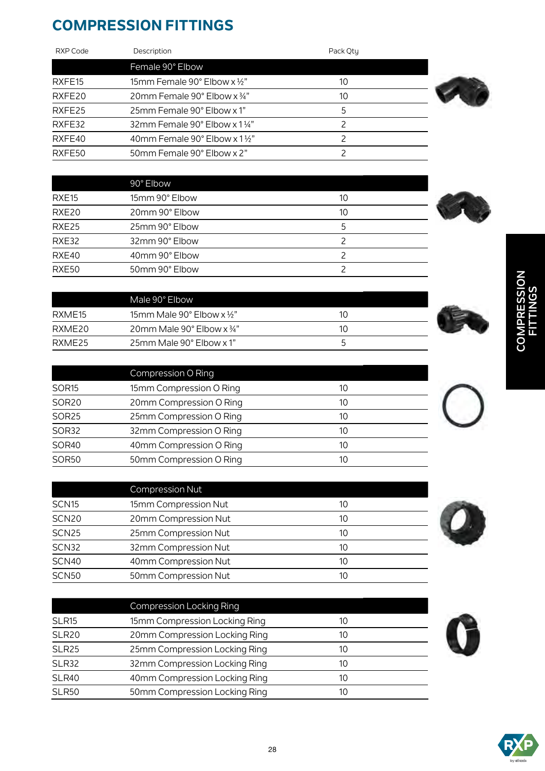### **COMPRESSION FITTINGS**

| RXP Code | Description                                         | Pack Otu |  |
|----------|-----------------------------------------------------|----------|--|
|          | Female 90° Elbow                                    |          |  |
| RXFE15   | 15mm Female 90 $^{\circ}$ Elbow x 1/2"              | 10       |  |
| RXFE20   | 20mm Female 90 $^{\circ}$ Elbow x $\frac{3}{4}$ "   | 10       |  |
| RXFE25   | 25mm Female 90° Elbow x 1"                          | 5        |  |
| RXFE32   | 32mm Female 90 $^{\circ}$ Elbow x 1 $\frac{1}{4}$ " |          |  |
| RXFE40   | 40mm Female 90° Elbow x 11/2"                       | っ        |  |
| RXFE50   | 50mm Female 90° Elbow x 2"                          |          |  |

|                   | 90° Elbow      |    |
|-------------------|----------------|----|
| RXE <sub>15</sub> | 15mm 90° Elbow | 10 |
| RXE20             | 20mm 90° Elbow | 10 |
| RXE25             | 25mm 90° Elbow | 5  |
| RXE32             | 32mm 90° Elbow |    |
| RXE40             | 40mm 90° Elbow |    |
| RXE50             | 50mm 90° Elbow |    |



|                   | Compression O Ring      |    |  |
|-------------------|-------------------------|----|--|
| SOR <sub>15</sub> | 15mm Compression O Ring | 10 |  |
| <b>SOR20</b>      | 20mm Compression O Ring | 10 |  |
| <b>SOR25</b>      | 25mm Compression O Ring | 10 |  |
| SOR32             | 32mm Compression O Ring | 10 |  |
| <b>SOR40</b>      | 40mm Compression O Ring | 10 |  |
| <b>SOR50</b>      | 50mm Compression O Ring | 10 |  |

|                   | <b>Compression Nut</b> |    |
|-------------------|------------------------|----|
| SCN <sub>15</sub> | 15mm Compression Nut   | 10 |
| SCN <sub>20</sub> | 20mm Compression Nut   | 10 |
| SCN <sub>25</sub> | 25mm Compression Nut   | 10 |
| SCN32             | 32mm Compression Nut   | 10 |
| <b>SCN40</b>      | 40mm Compression Nut   | 10 |
| <b>SCN50</b>      | 50mm Compression Nut   | 10 |

|                   | <b>Compression Locking Ring</b> |    |  |
|-------------------|---------------------------------|----|--|
| SLR <sub>15</sub> | 15mm Compression Locking Ring   | 10 |  |
| <b>SLR20</b>      | 20mm Compression Locking Ring   | 10 |  |
| SLR <sub>25</sub> | 25mm Compression Locking Ring   | 10 |  |
| SLR32             | 32mm Compression Locking Ring   | 10 |  |
| <b>SLR40</b>      | 40mm Compression Locking Ring   | 10 |  |
| <b>SLR50</b>      | 50mm Compression Locking Ring   | 10 |  |

# COMPRESSION<br>FITTINGS **COMPRESSION FITTINGS**







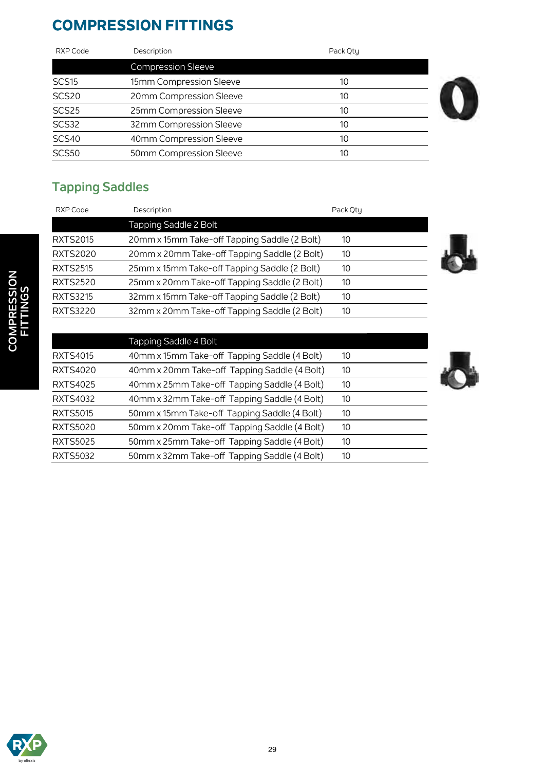### **COMPRESSION FITTINGS**

| RXP Code          | Description               | Pack Otu |  |
|-------------------|---------------------------|----------|--|
|                   | <b>Compression Sleeve</b> |          |  |
| SCS <sub>15</sub> | 15mm Compression Sleeve   | 10       |  |
| SCS20             | 20mm Compression Sleeve   | 10       |  |
| SCS25             | 25mm Compression Sleeve   | 10       |  |
| SCS32             | 32mm Compression Sleeve   | 10       |  |
| <b>SCS40</b>      | 40mm Compression Sleeve   | 10       |  |
| <b>SCS50</b>      | 50mm Compression Sleeve   |          |  |

### **Tapping Saddles**

| RXP Code        | Description                                  | Pack Otu |  |
|-----------------|----------------------------------------------|----------|--|
|                 | Tapping Saddle 2 Bolt                        |          |  |
| <b>RXTS2015</b> | 20mm x 15mm Take-off Tapping Saddle (2 Bolt) | 10       |  |
| <b>RXTS2020</b> | 20mm x 20mm Take-off Tapping Saddle (2 Bolt) | 10       |  |
| <b>RXTS2515</b> | 25mm x 15mm Take-off Tapping Saddle (2 Bolt) | 10       |  |
| <b>RXTS2520</b> | 25mm x 20mm Take-off Tapping Saddle (2 Bolt) | 10       |  |
| <b>RXTS3215</b> | 32mm x 15mm Take-off Tapping Saddle (2 Bolt) | 10       |  |
| <b>RXTS3220</b> | 32mm x 20mm Take-off Tapping Saddle (2 Bolt) | 10       |  |
|                 |                                              |          |  |

|                 | Tapping Saddle 4 Bolt                        |    |
|-----------------|----------------------------------------------|----|
| <b>RXTS4015</b> | 40mm x 15mm Take-off Tapping Saddle (4 Bolt) | 10 |
| <b>RXTS4020</b> | 40mm x 20mm Take-off Tapping Saddle (4 Bolt) | 10 |
| <b>RXTS4025</b> | 40mm x 25mm Take-off Tapping Saddle (4 Bolt) | 10 |
| <b>RXTS4032</b> | 40mm x 32mm Take-off Tapping Saddle (4 Bolt) | 10 |
| <b>RXTS5015</b> | 50mm x 15mm Take-off Tapping Saddle (4 Bolt) | 10 |
| <b>RXTS5020</b> | 50mm x 20mm Take-off Tapping Saddle (4 Bolt) | 10 |
| <b>RXTS5025</b> | 50mm x 25mm Take-off Tapping Saddle (4 Bolt) | 10 |
| <b>RXTS5032</b> | 50mm x 32mm Take-off Tapping Saddle (4 Bolt) | 10 |



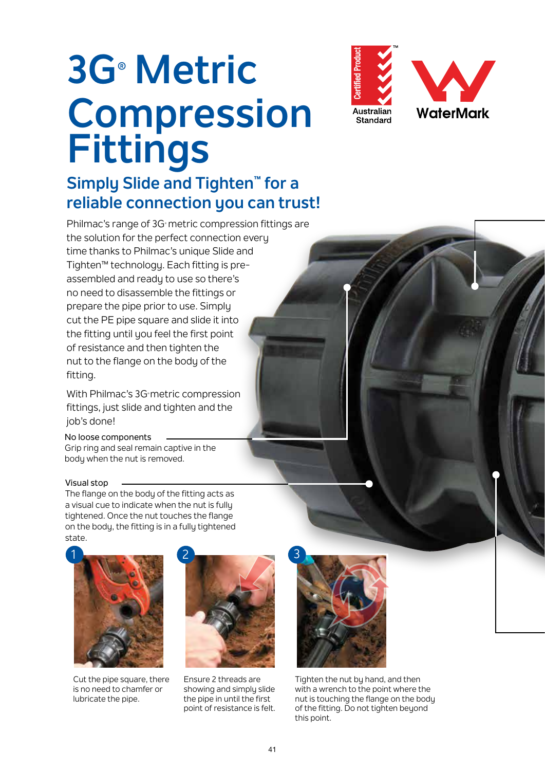# **3G® Metric Compression Fittings**

### **Simply Slide and Tighten™ for a reliable connection you can trust!**

Philmac's range of 3G metric compression fittings are the solution for the perfect connection every time thanks to Philmac's unique Slide and Tighten™ technology. Each fitting is preassembled and ready to use so there's no need to disassemble the fittings or prepare the pipe prior to use. Simply cut the PE pipe square and slide it into the fitting until you feel the first point of resistance and then tighten the nut to the flange on the body of the fitting.

With Philmac's 3G metric compression fittings, just slide and tighten and the job's done!

#### No loose components

Grip ring and seal remain captive in the body when the nut is removed.

#### Visual stop

The flange on the body of the fitting acts as a visual cue to indicate when the nut is fully tightened. Once the nut touches the flange on the body, the fitting is in a fully tightened state.



Cut the pipe square, there is no need to chamfer or lubricate the pipe.



Ensure 2 threads are showing and simply slide the pipe in until the first point of resistance is felt.



Tighten the nut by hand, and then with a wrench to the point where the nut is touching the flange on the body of the fitting. Do not tighten beyond this point.

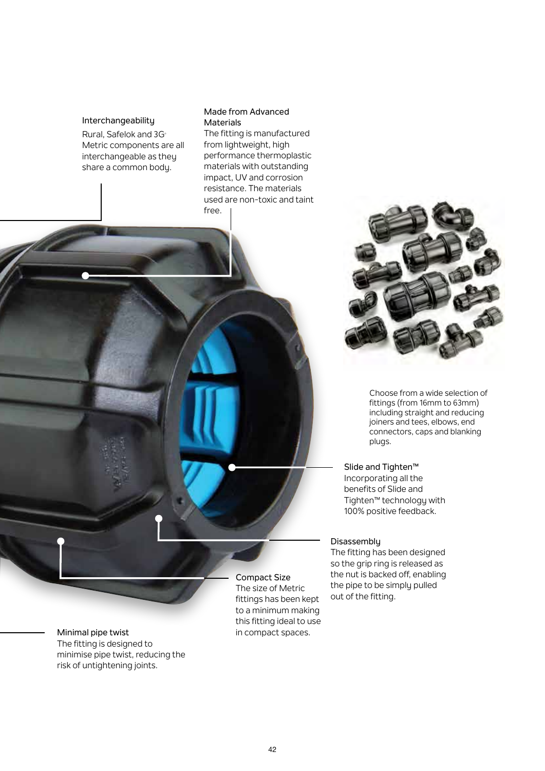#### Interchangeability

Rural, Safelok and 3G<sup>®</sup> Metric components are all interchangeable as they share a common body.

#### Made from Advanced Materials

The fitting is manufactured from lightweight, high performance thermoplastic materials with outstanding impact, UV and corrosion resistance. The materials used are non-toxic and taint free.



Choose from a wide selection of fittings (from 16mm to 63mm) including straight and reducing joiners and tees, elbows, end connectors, caps and blanking plugs.

Slide and Tighten™ Incorporating all the benefits of Slide and Tighten™ technology with 100% positive feedback.

#### Disassembly

The fitting has been designed so the grip ring is released as the nut is backed off, enabling the pipe to be simply pulled out of the fitting.

Minimal pipe twist The fitting is designed to minimise pipe twist, reducing the risk of untightening joints.

Compact Size The size of Metric fittings has been kept to a minimum making this fitting ideal to use in compact spaces.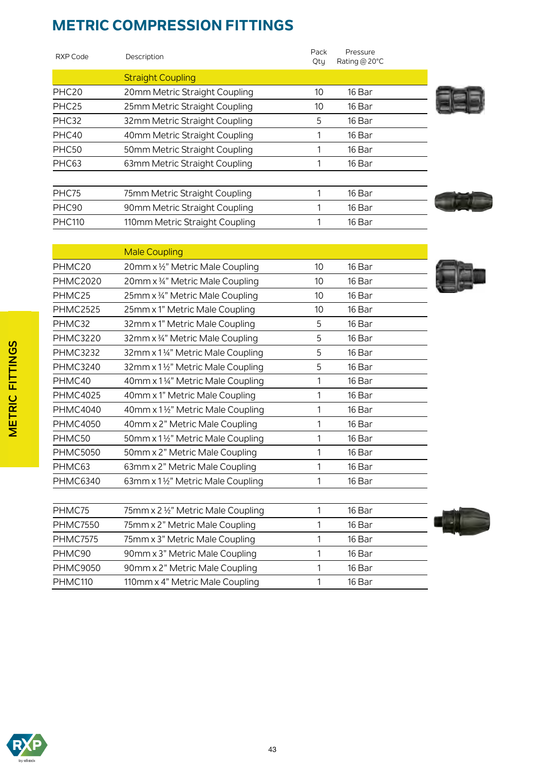Male Coupling

| RXP Code          | Description                    | Pack<br>Qty | Pressure<br>Rating @ $20^{\circ}$ C |  |
|-------------------|--------------------------------|-------------|-------------------------------------|--|
|                   | <b>Straight Coupling</b>       |             |                                     |  |
| PHC <sub>20</sub> | 20mm Metric Straight Coupling  | 10          | 16 Bar                              |  |
| PHC <sub>25</sub> | 25mm Metric Straight Coupling  | 10          | 16 Bar                              |  |
| PHC32             | 32mm Metric Straight Coupling  | 5           | 16 Bar                              |  |
| PHC40             | 40mm Metric Straight Coupling  |             | 16 Bar                              |  |
| PHC50             | 50mm Metric Straight Coupling  |             | 16 Bar                              |  |
| PHC <sub>63</sub> | 63mm Metric Straight Coupling  |             | 16 Bar                              |  |
|                   |                                |             |                                     |  |
| PHC75             | 75mm Metric Straight Coupling  |             | 16 Bar                              |  |
| PHC90             | 90mm Metric Straight Coupling  |             | 16 Bar                              |  |
| <b>PHC110</b>     | 110mm Metric Straight Coupling |             | 16 Bar                              |  |
|                   |                                |             |                                     |  |









PHMC50 50mm x 1 1/2" Metric Male Coupling 1 1 16 Bar PHMC5050 50mm x 2" Metric Male Coupling 1 1 16 Bar PHMC63 63mm x 2" Metric Male Coupling 1 1 16 Bar PHMC6340 63mm x 1½" Metric Male Coupling 1 1 16 Bar

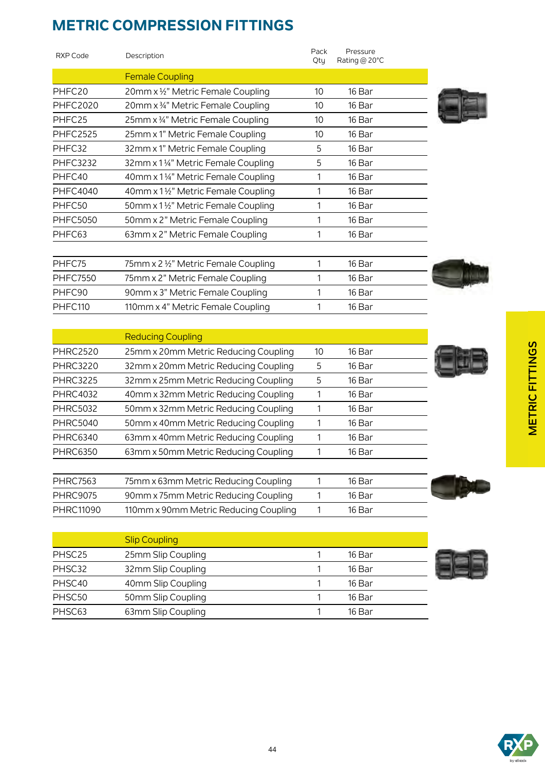| RXP Code        | Description                         | Pack<br>Qty | Pressure<br>Rating @ $20^{\circ}$ C |  |
|-----------------|-------------------------------------|-------------|-------------------------------------|--|
|                 | <b>Female Coupling</b>              |             |                                     |  |
| PHFC20          | 20mm x 1/2" Metric Female Coupling  | 10          | 16 Bar                              |  |
| <b>PHFC2020</b> | 20mm x 34" Metric Female Coupling   | 10          | 16 Bar                              |  |
| PHFC25          | 25mm x 34" Metric Female Coupling   | 10          | 16 Bar                              |  |
| <b>PHFC2525</b> | 25mm x 1" Metric Female Coupling    | 10          | 16 Bar                              |  |
| PHFC32          | 32mm x 1" Metric Female Coupling    | 5           | 16 Bar                              |  |
| <b>PHFC3232</b> | 32mm x 11/4" Metric Female Coupling | 5           | 16 Bar                              |  |
| PHFC40          | 40mm x 11/4" Metric Female Coupling |             | 16 Bar                              |  |
| <b>PHFC4040</b> | 40mm x 1½" Metric Female Coupling   |             | 16 Bar                              |  |
| PHFC50          | 50mm x 1½" Metric Female Coupling   |             | 16 Bar                              |  |
| <b>PHFC5050</b> | 50mm x 2" Metric Female Coupling    |             | 16 Bar                              |  |
| PHFC63          | 63mm x 2" Metric Female Coupling    |             | 16 Bar                              |  |
|                 |                                     |             |                                     |  |

| PHFC75          | 75mm x 2 1/2" Metric Female Coupling | 16 Bar |  |
|-----------------|--------------------------------------|--------|--|
| <b>PHFC7550</b> | 75mm x 2" Metric Female Coupling     | 16 Bar |  |
| PHFC90          | 90mm x 3" Metric Female Coupling     | 16 Bar |  |
| PHFC110         | 110mm x 4" Metric Female Coupling    | 16 Bar |  |
|                 |                                      |        |  |

|                 | <b>Reducing Coupling</b>             |    |        |  |
|-----------------|--------------------------------------|----|--------|--|
| <b>PHRC2520</b> | 25mm x 20mm Metric Reducing Coupling | 10 | 16 Bar |  |
| <b>PHRC3220</b> | 32mm x 20mm Metric Reducing Coupling | 5  | 16 Bar |  |
| <b>PHRC3225</b> | 32mm x 25mm Metric Reducing Coupling | 5  | 16 Bar |  |
| <b>PHRC4032</b> | 40mm x 32mm Metric Reducing Coupling |    | 16 Bar |  |
| <b>PHRC5032</b> | 50mm x 32mm Metric Reducing Coupling |    | 16 Bar |  |
| <b>PHRC5040</b> | 50mm x 40mm Metric Reducing Coupling |    | 16 Bar |  |
| <b>PHRC6340</b> | 63mm x 40mm Metric Reducing Coupling |    | 16 Bar |  |
| <b>PHRC6350</b> | 63mm x 50mm Metric Reducing Coupling |    | 16 Bar |  |
|                 |                                      |    |        |  |

| <b>PHRC7563</b> | 75mm x 63mm Metric Reducing Coupling  | 16 Bar |  |
|-----------------|---------------------------------------|--------|--|
| <b>PHRC9075</b> | 90mm x 75mm Metric Reducing Coupling  | 16 Bar |  |
| PHRC11090       | 110mm x 90mm Metric Reducing Coupling | 16 Bar |  |

|                    | <b>Slip Coupling</b> |        |  |
|--------------------|----------------------|--------|--|
| PHSC <sub>25</sub> | 25mm Slip Coupling   | 16 Bar |  |
| PHSC32             | 32mm Slip Coupling   | 16 Bar |  |
| PHSC40             | 40mm Slip Coupling   | 16 Bar |  |
| PHSC50             | 50mm Slip Coupling   | 16 Bar |  |
| PHSC63             | 63mm Slip Coupling   | 16 Bar |  |



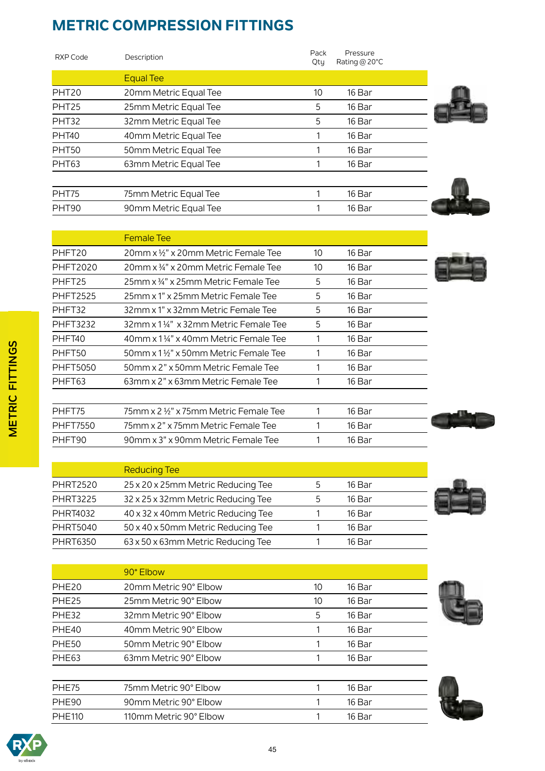Female Tee

90° Elbow

| <b>RXP Code</b>   | Description           | Pack<br>Pressure<br>Rating @ $20^{\circ}$ C<br>Qtu |  |
|-------------------|-----------------------|----------------------------------------------------|--|
|                   | <b>Equal Tee</b>      |                                                    |  |
| PHT <sub>20</sub> | 20mm Metric Equal Tee | 10<br>16 Bar                                       |  |
| PHT <sub>25</sub> | 25mm Metric Equal Tee | 16 Bar<br>5                                        |  |
| PHT32             | 32mm Metric Equal Tee | 5<br>16 Bar                                        |  |
| PHT <sub>40</sub> | 40mm Metric Equal Tee | 16 Bar                                             |  |
| PHT50             | 50mm Metric Equal Tee | 16 Bar                                             |  |
| PHT63             | 63mm Metric Equal Tee | 16 Bar                                             |  |
|                   |                       |                                                    |  |
| PHT75             | 75mm Metric Equal Tee | 16 Bar                                             |  |
| PHT90             | 90mm Metric Equal Tee | 16 Bar                                             |  |
|                   |                       |                                                    |  |

PHFT20 20mm x 1/2" x 20mm Metric Female Tee 10 16 Bar PHFT2020 20mm x 34" x 20mm Metric Female Tee 10 16 Bar PHFT25 25mm x 34" x 25mm Metric Female Tee 5 16 Bar PHFT2525 25mm x 1" x 25mm Metric Female Tee 5 16 Bar PHFT32 32mm x 1" x 32mm Metric Female Tee 5 16 Bar PHFT3232 32mm x 1¼" x 32mm Metric Female Tee 5 16 Bar PHFT40 40mm x 1 ¼" x 40mm Metric Female Tee 1 16 Bar PHFT50 50mm x 1 1/2" x 50mm Metric Female Tee 1 16 Bar PHFT5050 50mm x 2" x 50mm Metric Female Tee 1 1 16 Bar PHFT63 63mm x 2" x 63mm Metric Female Tee 1 16 Bar

PHFT75 75mm x 2 ½" x 75mm Metric Female Tee 1 1 16 Bar PHFT7550 75mm x 2" x 75mm Metric Female Tee 1 1 16 Bar PHFT90 90mm x 3" x 90mm Metric Female Tee 1 1 16 Bar

PHE20 20mm Metric 90° Elbow 10 16 Bar PHE25 25mm Metric 90° Elbow 10 16 Bar PHE32 32mm Metric 90° Elbow 5 16 Bar PHE40 40mm Metric 90° Elbow 1 1 16 Bar PHE50 50mm Metric 90° Elbow 1 16 Bar PHE63 63mm Metric 90° Elbow 1 1 16 Bar

PHE75 75mm Metric 90° Elbow 1 1 16 Bar PHE90 90mm Metric 90° Elbow 1 1 16 Bar PHE110 110mm Metric 90° Elbow 1 1 16 Bar



| ٠ |
|---|
|   |
|   |





|                 | <b>Reducing Tee</b>                |   |        |  |
|-----------------|------------------------------------|---|--------|--|
| <b>PHRT2520</b> | 25 x 20 x 25mm Metric Reducing Tee | 5 | 16 Bar |  |
| <b>PHRT3225</b> | 32 x 25 x 32mm Metric Reducing Tee | 5 | 16 Bar |  |
| <b>PHRT4032</b> | 40 x 32 x 40mm Metric Reducing Tee |   | 16 Bar |  |
| <b>PHRT5040</b> | 50 x 40 x 50mm Metric Reducing Tee |   | 16 Bar |  |
| <b>PHRT6350</b> | 63 x 50 x 63mm Metric Reducing Tee |   | 16 Bar |  |







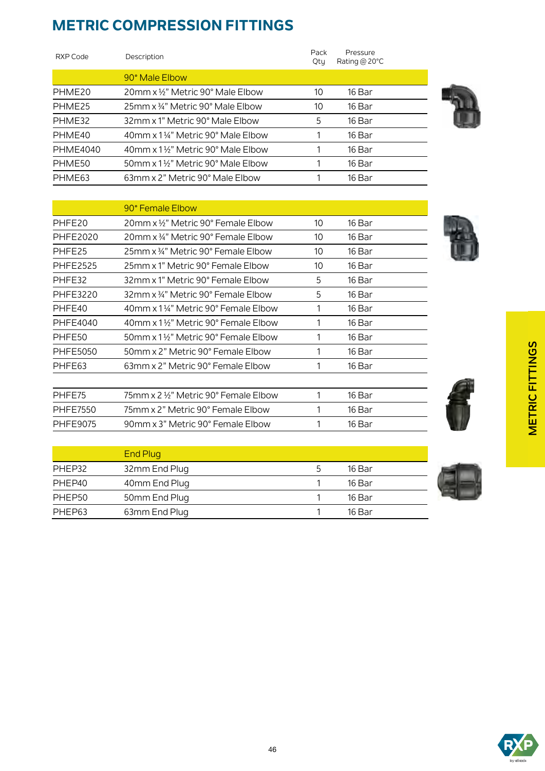90° Female Elbow

| RXP Code        | Description                      | Pack<br>Qtu | Pressure<br>Rating @ $20^{\circ}$ C |
|-----------------|----------------------------------|-------------|-------------------------------------|
|                 | 90° Male Elbow                   |             |                                     |
| PHME20          | 20mm x ½" Metric 90° Male Elbow  | 10          | 16 Bar                              |
| PHME25          | 25mm x 34" Metric 90° Male Elbow | 10          | 16 Bar                              |
| PHME32          | 32mm x 1" Metric 90° Male Elbow  | 5           | 16 Bar                              |
| PHME40          | 40mm x 1¼" Metric 90° Male Elbow |             | 16 Bar                              |
| <b>PHME4040</b> | 40mm x 1½" Metric 90° Male Elbow |             | 16 Bar                              |
| PHME50          | 50mm x 1½" Metric 90° Male Elbow |             | 16 Bar                              |
| PHME63          | 63mm x 2" Metric 90° Male Elbow  |             | 16 Bar                              |

PHFE20 20mm x ½" Metric 90° Female Elbow 10 16 Bar PHFF2020 20mm x 3/4" Metric 90° Female Flbow 10 16 Bar PHFE25 25mm x 34" Metric 90° Female Elbow 10 16 Bar PHFE2525 25mm x 1" Metric 90° Female Elbow 10 16 Bar PHFE32 32mm x 1" Metric 90° Female Elbow 5 16 Bar PHFE3220 32mm x 34" Metric 90° Female Elbow 5 16 Bar PHFE40 40mm x 1 1/4" Metric 90° Female Elbow 1 16 Bar PHFE4040 40mm x 1 1/2" Metric 90° Female Elbow 1 16 Bar PHFE50 50mm x 1 1/2" Metric 90° Female Elbow 1 16 Bar PHFE5050 50mm x 2" Metric 90° Female Elbow 1 16 Bar PHFE63 63mm x 2" Metric 90° Female Elbow 1 16 Bar

PHFE75 75mm x 2 1/2" Metric 90° Female Elbow 1 16 Bar PHFE7550 75mm x 2" Metric 90° Female Elbow 1 16 Bar PHFE9075 90mm x 3" Metric 90° Female Elbow 1 16 Bar







**METRIC FITTINGS**

**METRIC FITTINGS** 



|        | <b>End Plug</b> |   |        |
|--------|-----------------|---|--------|
| PHEP32 | 32mm End Plug   | כ | 16 Bar |
| PHEP40 | 40mm End Plug   |   | 16 Bar |
| PHEP50 | 50mm End Plug   |   | 16 Bar |
| PHEP63 | 63mm End Plug   |   | 16 Bar |



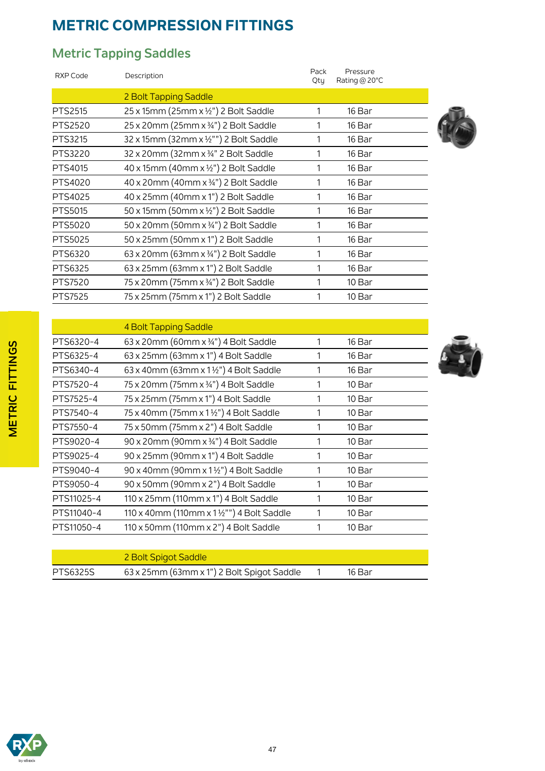### **Metric Tapping Saddles**

| <b>RXP Code</b> | Description                            | Pack<br>Qtu | Pressure<br>Rating @ 20°C |  |
|-----------------|----------------------------------------|-------------|---------------------------|--|
|                 | 2 Bolt Tapping Saddle                  |             |                           |  |
| PTS2515         | 25 x 15mm (25mm x 1/2") 2 Bolt Saddle  | 1           | 16 Bar                    |  |
| PTS2520         | 25 x 20mm (25mm x 3/4") 2 Bolt Saddle  | 1           | 16 Bar                    |  |
| PTS3215         | 32 x 15mm (32mm x 1/2"") 2 Bolt Saddle | 1           | 16 Bar                    |  |
| PTS3220         | 32 x 20mm (32mm x 3/4" 2 Bolt Saddle   | 1           | 16 Bar                    |  |
| PTS4015         | 40 x 15mm (40mm x 1/2") 2 Bolt Saddle  | 1           | 16 Bar                    |  |
| PTS4020         | 40 x 20mm (40mm x 3/4") 2 Bolt Saddle  | 1           | 16 Bar                    |  |
| PTS4025         | 40 x 25mm (40mm x 1") 2 Bolt Saddle    | 1           | 16 Bar                    |  |
| PTS5015         | 50 x 15mm (50mm x ½") 2 Bolt Saddle    | 1           | 16 Bar                    |  |
| PTS5020         | 50 x 20mm (50mm x 3/4") 2 Bolt Saddle  | 1           | 16 Bar                    |  |
| PTS5025         | 50 x 25mm (50mm x 1") 2 Bolt Saddle    | 1           | 16 Bar                    |  |
| PTS6320         | 63 x 20mm (63mm x 3/4") 2 Bolt Saddle  | 1           | 16 Bar                    |  |
| PTS6325         | 63 x 25mm (63mm x 1") 2 Bolt Saddle    | 1           | 16 Bar                    |  |
| PTS7520         | 75 x 20mm (75mm x 3/4") 2 Bolt Saddle  | 1           | 10 Bar                    |  |
| <b>PTS7525</b>  | 75 x 25mm (75mm x 1") 2 Bolt Saddle    |             | 10 Bar                    |  |
|                 |                                        |             |                           |  |

|            | 4 Bolt Tapping Saddle                      |   |        |  |
|------------|--------------------------------------------|---|--------|--|
| PTS6320-4  | 63 x 20mm (60mm x 3/4") 4 Bolt Saddle      | 1 | 16 Bar |  |
| PTS6325-4  | 63 x 25mm (63mm x 1") 4 Bolt Saddle        |   | 16 Bar |  |
| PTS6340-4  | 63 x 40mm (63mm x 1½") 4 Bolt Saddle       |   | 16 Bar |  |
| PTS7520-4  | 75 x 20mm (75mm x 34") 4 Bolt Saddle       |   | 10 Bar |  |
| PTS7525-4  | 75 x 25mm (75mm x 1") 4 Bolt Saddle        |   | 10 Bar |  |
| PTS7540-4  | 75 x 40mm (75mm x 1 1/2") 4 Bolt Saddle    |   | 10 Bar |  |
| PTS7550-4  | 75 x 50mm (75mm x 2") 4 Bolt Saddle        | 1 | 10 Bar |  |
| PTS9020-4  | 90 x 20mm (90mm x 3/4") 4 Bolt Saddle      |   | 10 Bar |  |
| PTS9025-4  | 90 x 25mm (90mm x 1") 4 Bolt Saddle        |   | 10 Bar |  |
| PTS9040-4  | 90 x 40mm (90mm x 1 1/2") 4 Bolt Saddle    |   | 10 Bar |  |
| PTS9050-4  | 90 x 50mm (90mm x 2") 4 Bolt Saddle        |   | 10 Bar |  |
| PTS11025-4 | 110 x 25mm (110mm x 1") 4 Bolt Saddle      | 1 | 10 Bar |  |
| PTS11040-4 | 110 x 40mm (110mm x 1 1/2"") 4 Bolt Saddle |   | 10 Bar |  |
| PTS11050-4 | 110 x 50mm (110mm x 2") 4 Bolt Saddle      |   | 10 Bar |  |
|            |                                            |   |        |  |



|          | 2 Bolt Spigot Saddle                       |        |  |
|----------|--------------------------------------------|--------|--|
| PTS6325S | 63 x 25mm (63mm x 1") 2 Bolt Spigot Saddle | 16 Bar |  |

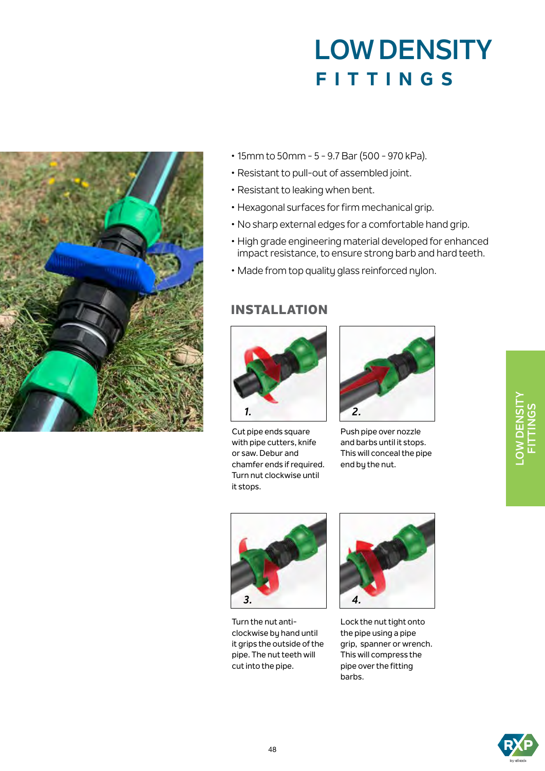

- 15mm to 50mm 5 9.7 Bar (500 970 kPa).
- Resistant to pull-out of assembled joint.
- Resistant to leaking when bent.
- Hexagonal surfaces for firm mechanical grip.
- No sharp external edges for a comfortable hand grip.
- High grade engineering material developed for enhanced impact resistance, to ensure strong barb and hard teeth.
- Made from top quality glass reinforced nylon.

#### INSTALLATION



Cut pipe ends square with pipe cutters, knife or saw. Debur and chamfer ends if required. Turn nut clockwise until it stops.



Push pipe over nozzle and barbs until it stops. This will conceal the pipe end by the nut.



Turn the nut anticlockwise by hand until it grips the outside of the pipe. The nut teeth will cut into the pipe.



Lock the nut tight onto the pipe using a pipe grip, spanner or wrench. This will compress the pipe over the fitting barbs.

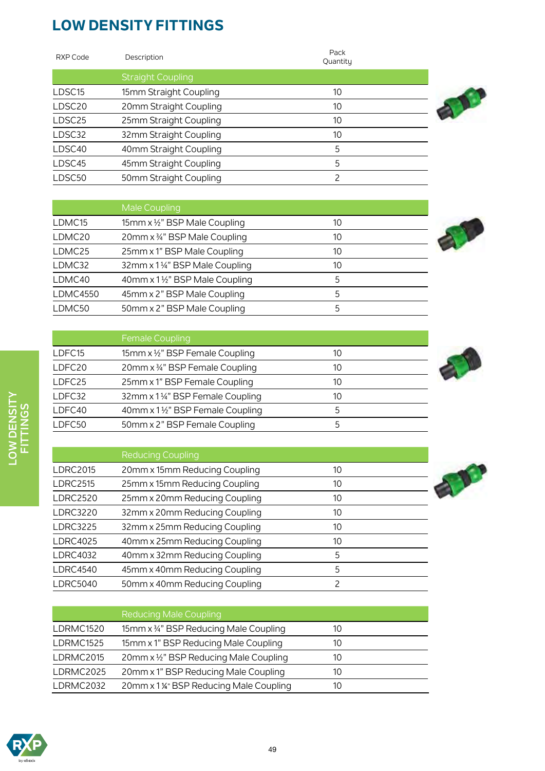| RXP Code           | Description              | Pack<br>Quantitu |
|--------------------|--------------------------|------------------|
|                    | <b>Straight Coupling</b> |                  |
| LDSC15             | 15mm Straight Coupling   | 10               |
| LDSC <sub>20</sub> | 20mm Straight Coupling   | 10               |
| LDSC25             | 25mm Straight Coupling   | 10               |
| LDSC32             | 32mm Straight Coupling   | 10               |
| LDSC40             | 40mm Straight Coupling   | 5                |
| LDSC45             | 45mm Straight Coupling   | 5                |
| LDSC50             | 50mm Straight Coupling   | 2                |



|                 | Male Coupling                 |    |  |
|-----------------|-------------------------------|----|--|
| LDMC15          | 15mm x 1/2" BSP Male Coupling | 10 |  |
| LDMC20          | 20mm x 34" BSP Male Coupling  | 10 |  |
| LDMC25          | 25mm x 1" BSP Male Coupling   | 10 |  |
| LDMC32          | 32mm x 1¼" BSP Male Coupling  | 10 |  |
| LDMC40          | 40mm x 1½" BSP Male Coupling  | 5  |  |
| <b>LDMC4550</b> | 45mm x 2" BSP Male Coupling   | 5  |  |
| LDMC50          | 50mm x 2" BSP Male Coupling   | 5  |  |



|        | <b>Female Coupling</b>          |    |  |
|--------|---------------------------------|----|--|
| LDFC15 | 15mm x 1/2" BSP Female Coupling | 10 |  |
| LDFC20 | 20mm x 3/4" BSP Female Coupling | 10 |  |
| LDFC25 | 25mm x 1" BSP Female Coupling   | 10 |  |
| LDFC32 | 32mm x 1¼" BSP Female Coupling  | 10 |  |
| LDFC40 | 40mm x 1½" BSP Female Coupling  | 5  |  |
| LDFC50 | 50mm x 2" BSP Female Coupling   | 5  |  |



|                 | <b>Reducing Coupling</b>      |    |  |
|-----------------|-------------------------------|----|--|
| <b>LDRC2015</b> | 20mm x 15mm Reducing Coupling | 10 |  |
| <b>LDRC2515</b> | 25mm x 15mm Reducing Coupling | 10 |  |
| <b>LDRC2520</b> | 25mm x 20mm Reducing Coupling | 10 |  |
| <b>LDRC3220</b> | 32mm x 20mm Reducing Coupling | 10 |  |
| <b>LDRC3225</b> | 32mm x 25mm Reducing Coupling | 10 |  |
| <b>LDRC4025</b> | 40mm x 25mm Reducing Coupling | 10 |  |
| <b>LDRC4032</b> | 40mm x 32mm Reducing Coupling | 5  |  |
| <b>LDRC4540</b> | 45mm x 40mm Reducing Coupling | 5  |  |
| <b>LDRC5040</b> | 50mm x 40mm Reducing Coupling |    |  |



|           | <b>Reducing Male Coupling</b>          |    |
|-----------|----------------------------------------|----|
| LDRMC1520 | 15mm x 34" BSP Reducing Male Coupling  | 10 |
| LDRMC1525 | 15mm x 1" BSP Reducing Male Coupling   | 10 |
| LDRMC2015 | 20mm x 1/2" BSP Reducing Male Coupling | 10 |
| LDRMC2025 | 20mm x 1" BSP Reducing Male Coupling   | 10 |
| LDRMC2032 | 20mm x 1 %" BSP Reducing Male Coupling | 10 |

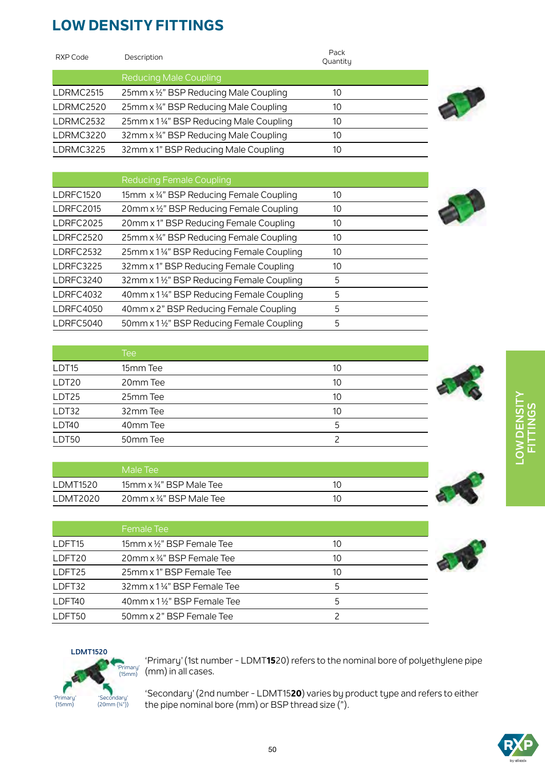| RXP Code  | Description                             | Pack<br>Quantity |  |
|-----------|-----------------------------------------|------------------|--|
|           | <b>Reducing Male Coupling</b>           |                  |  |
| LDRMC2515 | 25mm x 1/2" BSP Reducing Male Coupling  | 10               |  |
| LDRMC2520 | 25mm x 34" BSP Reducing Male Coupling   | 10               |  |
| LDRMC2532 | 25mm x 11/4" BSP Reducing Male Coupling | 10               |  |
| LDRMC3220 | 32mm x 34" BSP Reducing Male Coupling   | 10               |  |
| LDRMC3225 | 32mm x 1" BSP Reducing Male Coupling    | 10               |  |





|                   | <b>Tee</b> |    |  |
|-------------------|------------|----|--|
| LDT <sub>15</sub> | 15mm Tee   | 10 |  |
| LDT <sub>20</sub> | 20mm Tee   | 10 |  |
| LDT25             | 25mm Tee   | 10 |  |
| LDT32             | 32mm Tee   | 10 |  |
| LDT40             | 40mm Tee   | 5  |  |
| LDT50             | 50mm Tee   |    |  |

|          | i Male Tee '            |  |
|----------|-------------------------|--|
| LDMT1520 | 15mm x 34" BSP Male Tee |  |
| LDMT2020 | 20mm x 34" BSP Male Tee |  |

|                    | Female Tee                              |               |  |
|--------------------|-----------------------------------------|---------------|--|
| LDFT <sub>15</sub> | 15mm x 1/ <sub>2</sub> " BSP Female Tee | 10            |  |
| LDFT <sub>20</sub> | 20mm x 34" BSP Female Tee               | 10            |  |
| LDFT25             | 25mm x 1" BSP Female Tee                | 10            |  |
| LDFT32             | 32mm x 11/4" BSP Female Tee             |               |  |
| LDFT40             | 40mm x 1 1/2" BSP Female Tee            | $\mathcal{F}$ |  |
| LDET50             | 50mm x 2" BSP Female Tee                |               |  |







'Primary' (1st number - LDMT**15**20) refers to the nominal bore of polyethylene pipe (mm) in all cases.

'Secondary' (2nd number - LDMT15**20**) varies by product type and refers to either the pipe nominal bore (mm) or BSP thread size (").

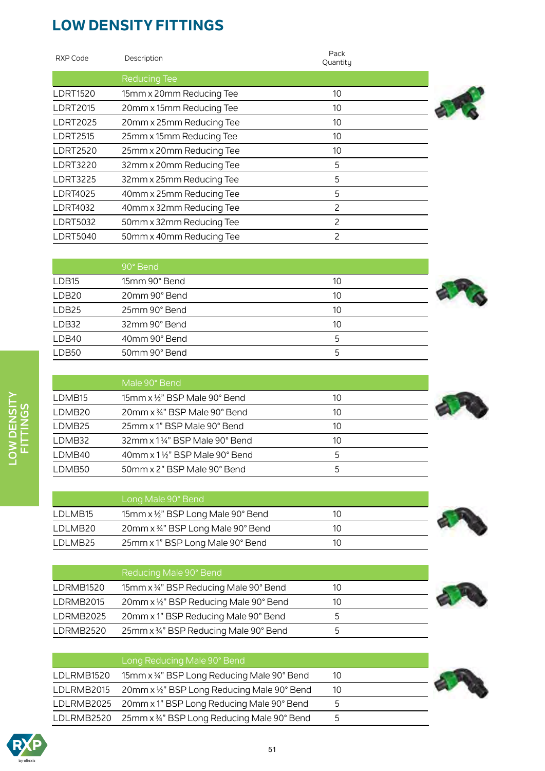| RXP Code        | Description              | Pack<br>Quantity |  |
|-----------------|--------------------------|------------------|--|
|                 | <b>Reducing Tee</b>      |                  |  |
| <b>LDRT1520</b> | 15mm x 20mm Reducing Tee | 10               |  |
| <b>LDRT2015</b> | 20mm x 15mm Reducing Tee | 10               |  |
| <b>LDRT2025</b> | 20mm x 25mm Reducing Tee | 10               |  |
| <b>LDRT2515</b> | 25mm x 15mm Reducing Tee | 10               |  |
| <b>LDRT2520</b> | 25mm x 20mm Reducing Tee | 10               |  |
| <b>LDRT3220</b> | 32mm x 20mm Reducing Tee | 5                |  |
| <b>LDRT3225</b> | 32mm x 25mm Reducing Tee | 5                |  |
| <b>LDRT4025</b> | 40mm x 25mm Reducing Tee | 5                |  |
| <b>LDRT4032</b> | 40mm x 32mm Reducing Tee | 2                |  |
| <b>LDRT5032</b> | 50mm x 32mm Reducing Tee | 2                |  |
| <b>LDRT5040</b> | 50mm x 40mm Reducing Tee | 2                |  |
|                 |                          |                  |  |







|                    | Male 90° Bend                                         |    |  |
|--------------------|-------------------------------------------------------|----|--|
| LDMB15             | 15mm x $\frac{1}{2}$ " BSP Male 90° Bend              | 10 |  |
| LDMB <sub>20</sub> | $20$ mm x $\frac{3}{4}$ " BSP Male 90° Bend           | 10 |  |
| LDMB25             | 25mm x 1" BSP Male 90° Bend                           | 10 |  |
| LDMB32             | $32$ mm x $1\frac{1}{4}$ " BSP Male $90^{\circ}$ Bend | 10 |  |
| LDMB40             | 40mm x 11/2" BSP Male 90° Bend                        | 5  |  |
| LDMB50             | 50mm x 2" BSP Male 90° Bend                           | 5  |  |

LDB50 50mm 90° Bend 5





|           | Reducing Male 90° Bend                 |    |  |
|-----------|----------------------------------------|----|--|
| LDRMB1520 | 15mm x 34" BSP Reducing Male 90° Bend  | 10 |  |
| LDRMB2015 | 20mm x 1/2" BSP Reducing Male 90° Bend | 10 |  |
| LDRMB2025 | 20mm x 1" BSP Reducing Male 90° Bend   | :כ |  |
| LDRMB2520 | 25mm x 34" BSP Reducing Male 90° Bend  | כ  |  |



|            | Long Reducing Male 90° Bend                           |    |  |
|------------|-------------------------------------------------------|----|--|
| LDLRMB1520 | 15mm x 34" BSP Long Reducing Male 90° Bend            | 10 |  |
| LDLRMB2015 | 20mm x 1/2" BSP Long Reducing Male 90° Bend           | 10 |  |
|            | LDLRMB2025 20mm x 1" BSP Long Reducing Male 90° Bend  | 5  |  |
|            | LDLRMB2520 25mm x 34" BSP Long Reducing Male 90° Bend | 5  |  |